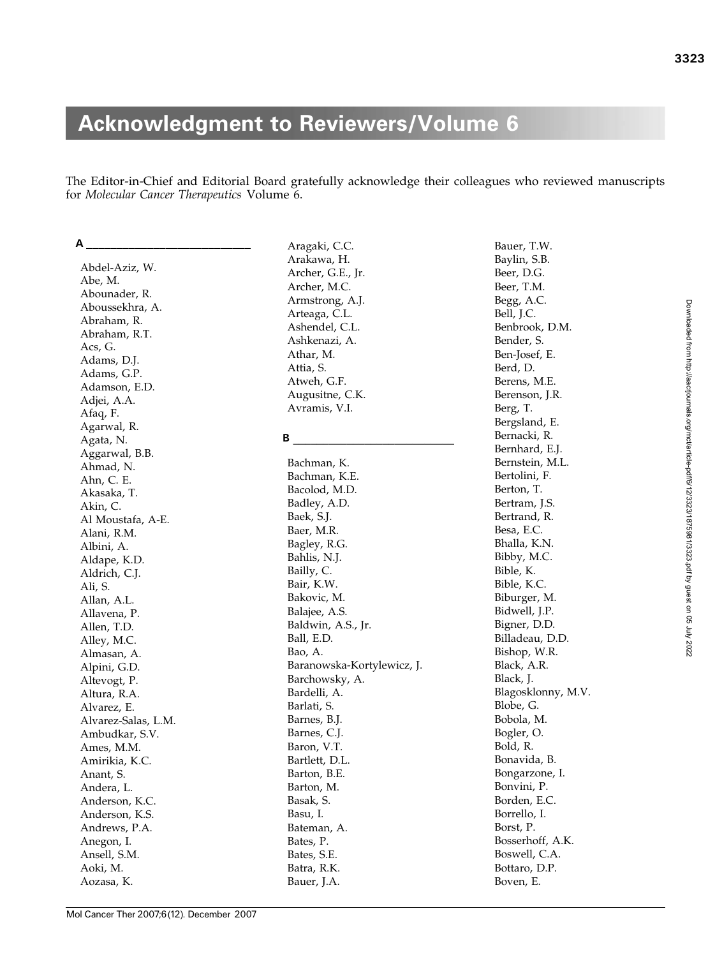# Acknowledgment to Reviewers/Volume 6

The Editor-in-Chief and Editorial Board gratefully acknowledge their colleagues who reviewed manuscripts for Molecular Cancer Therapeutics Volume 6.

Abdel-Aziz, W. Abe, M. Abounader, R. Aboussekhra, A. Abraham, R. Abraham, R.T. Acs, G. Adams, D.J. Adams, G.P. Adamson, E.D. Adjei, A.A. Afaq, F. Agarwal, R. Agata, N. Aggarwal, B.B. Ahmad, N. Ahn, C. E. Akasaka, T. Akin, C. Al Moustafa, A-E. Alani, R.M. Albini, A. Aldape, K.D. Aldrich, C.J. Ali, S. Allan, A.L. Allavena, P. Allen, T.D. Alley, M.C. Almasan, A. Alpini, G.D. Altevogt, P. Altura, R.A. Alvarez, E. Alvarez-Salas, L.M. Ambudkar, S.V. Ames, M.M. Amirikia, K.C. Anant, S. Andera, L. Anderson, K.C. Anderson, K.S. Andrews, P.A. Anegon, I. Ansell, S.M. Aoki, M. Aozasa, K.

A \_\_\_\_\_\_\_\_\_\_\_\_\_\_\_\_\_\_\_\_\_\_\_\_\_\_\_

Aragaki, C.C. Arakawa, H. Archer, G.E., Jr. Archer, M.C. Armstrong, A.J. Arteaga, C.L. Ashendel, C.L. Ashkenazi, A. Athar, M. Attia, S. Atweh, G.F. Augusitne, C.K. Avramis, V.I.

#### B \_\_\_\_\_\_\_\_\_\_\_\_\_\_\_\_\_\_\_\_\_\_\_\_\_\_\_

Bachman, K. Bachman, K.E. Bacolod, M.D. Badley, A.D. Baek, S.J. Baer, M.R. Bagley, R.G. Bahlis, N.J. Bailly, C. Bair, K.W. Bakovic, M. Balajee, A.S. Baldwin, A.S., Jr. Ball, E.D. Bao, A. Baranowska-Kortylewicz, J. Barchowsky, A. Bardelli, A. Barlati, S. Barnes, B.J. Barnes, C.J. Baron, V.T. Bartlett, D.L. Barton, B.E. Barton, M. Basak, S. Basu, I. Bateman, A. Bates, P. Bates, S.E. Batra, R.K. Bauer, J.A.

Bauer, T.W. Baylin, S.B. Beer, D.G. Beer, T.M. Begg, A.C. Bell, J.C. Benbrook, D.M. Bender, S. Ben-Josef, E. Berd, D. Berens, M.E. Berenson, J.R. Berg, T. Bergsland, E. Bernacki, R. Bernhard, E.J. Bernstein, M.L. Bertolini, F. Berton, T. Bertram, J.S. Bertrand, R. Besa, E.C. Bhalla, K.N. Bibby, M.C. Bible, K. Bible, K.C. Biburger, M. Bidwell, J.P. Bigner, D.D. Billadeau, D.D. Bishop, W.R. Black, A.R. Black, J. Blagosklonny, M.V. Blobe, G. Bobola, M. Bogler, O. Bold, R. Bonavida, B. Bongarzone, I. Bonvini, P. Borden, E.C. Borrello, I. Borst, P. Bosserhoff, A.K. Boswell, C.A. Bottaro, D.P. Boven, E.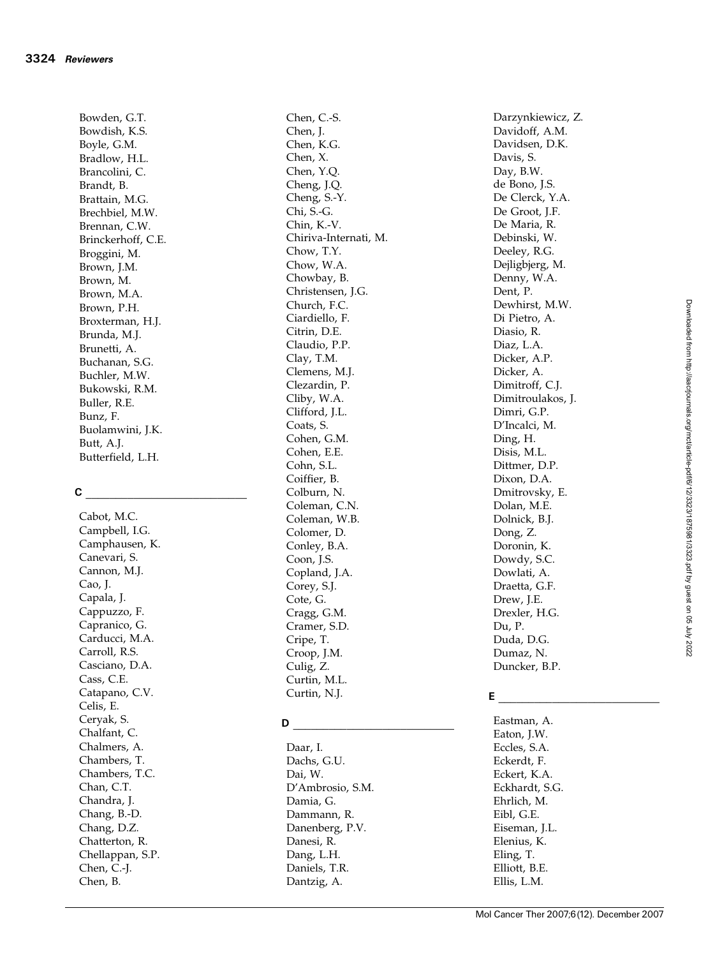Bowden, G.T. Bowdish, K.S. Boyle, G.M. Bradlow, H.L. Brancolini, C. Brandt, B. Brattain, M.G. Brechbiel, M.W. Brennan, C.W. Brinckerhoff, C.E. Broggini, M. Brown, J.M. Brown, M. Brown, M.A. Brown, P.H. Broxterman, H.J. Brunda, M.J. Brunetti, A. Buchanan, S.G. Buchler, M.W. Bukowski, R.M. Buller, R.E. Bunz, F. Buolamwini, J.K. Butt, A.J. Butterfield, L.H.

# C \_\_\_\_\_\_\_\_\_\_\_\_\_\_\_\_\_\_\_\_\_\_\_\_\_\_\_

Cabot, M.C. Campbell, I.G. Camphausen, K. Canevari, S. Cannon, M.J. Cao, J. Capala, J. Cappuzzo, F. Capranico, G. Carducci, M.A. Carroll, R.S. Casciano, D.A. Cass, C.E. Catapano, C.V. Celis, E. Ceryak, S. Chalfant, C. Chalmers, A. Chambers, T. Chambers, T.C. Chan, C.T. Chandra, J. Chang, B.-D. Chang, D.Z. Chatterton, R. Chellappan, S.P. Chen, C.-J. Chen, B.

Chen, C.-S. Chen, J. Chen, K.G. Chen, X. Chen, Y.Q. Cheng, J.Q. Cheng, S.-Y. Chi, S.-G. Chin, K.-V. Chiriva-Internati, M. Chow, T.Y. Chow, W.A. Chowbay, B. Christensen, J.G. Church, F.C. Ciardiello, F. Citrin, D.E. Claudio, P.P. Clay, T.M. Clemens, M.J. Clezardin, P. Cliby, W.A. Clifford, J.L. Coats, S. Cohen, G.M. Cohen, E.E. Cohn, S.L. Coiffier, B. Colburn, N. Coleman, C.N. Coleman, W.B. Colomer, D. Conley, B.A. Coon, J.S. Copland, J.A. Corey, S.J. Cote, G. Cragg, G.M. Cramer, S.D. Cripe, T. Croop, J.M. Culig, Z. Curtin, M.L. Curtin, N.J.

## $\mathsf{D}$

Daar, I. Dachs, G.U. Dai, W. D'Ambrosio, S.M. Damia, G. Dammann, R. Danenberg, P.V. Danesi, R. Dang, L.H. Daniels, T.R. Dantzig, A.

Darzynkiewicz, Z. Davidoff, A.M. Davidsen, D.K. Davis, S. Day, B.W. de Bono, J.S. De Clerck, Y.A. De Groot, J.F. De Maria, R. Debinski, W. Deeley, R.G. Dejligbjerg, M. Denny, W.A. Dent, P. Dewhirst, M.W. Di Pietro, A. Diasio, R. Diaz, L.A. Dicker, A.P. Dicker, A. Dimitroff, C.J. Dimitroulakos, J. Dimri, G.P. D'Incalci, M. Ding, H. Disis, M.L. Dittmer, D.P. Dixon, D.A. Dmitrovsky, E. Dolan, M.E. Dolnick, B.J. Dong, Z. Doronin, K. Dowdy, S.C. Dowlati, A. Draetta, G.F. Drew, J.E. Drexler, H.G. Du, P. Duda, D.G. Dumaz, N. Duncker, B.P.

# E  $\_$   $\_$

Eastman, A. Eaton, J.W. Eccles, S.A. Eckerdt, F. Eckert, K.A. Eckhardt, S.G. Ehrlich, M. Eibl, G.E. Eiseman, J.L. Elenius, K. Eling, T. Elliott, B.E. Ellis, L.M.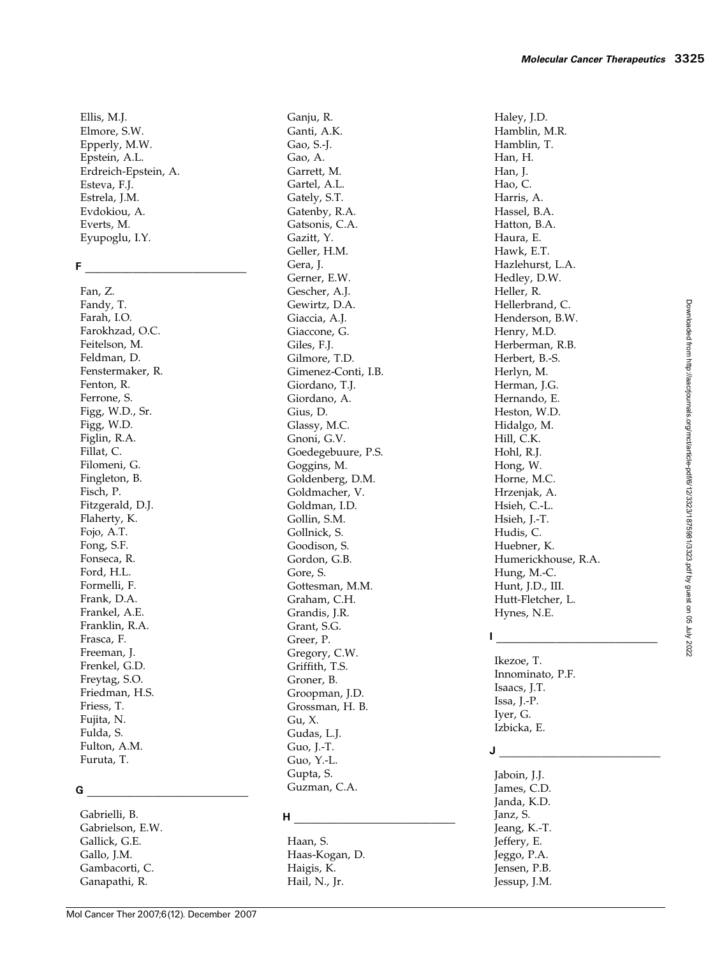Ellis, M.J. Elmore, S.W. Epperly, M.W. Epstein, A.L. Erdreich-Epstein, A. Esteva, F.J. Estrela, J.M. Evdokiou, A. Everts, M. Eyupoglu, I.Y.

#### F \_\_\_\_\_\_\_\_\_\_\_\_\_\_\_\_\_\_\_\_\_\_\_\_\_\_\_

Fan, Z. Fandy, T. Farah, I.O. Farokhzad, O.C. Feitelson, M. Feldman, D. Fenstermaker, R. Fenton, R. Ferrone, S. Figg, W.D., Sr. Figg, W.D. Figlin, R.A. Fillat, C. Filomeni, G. Fingleton, B. Fisch, P. Fitzgerald, D.J. Flaherty, K. Fojo, A.T. Fong, S.F. Fonseca, R. Ford, H.L. Formelli, F. Frank, D.A. Frankel, A.E. Franklin, R.A. Frasca, F. Freeman, J. Frenkel, G.D. Freytag, S.O. Friedman, H.S. Friess, T. Fujita, N. Fulda, S. Fulton, A.M. Furuta, T.

#### G \_\_\_\_\_\_\_\_\_\_\_\_\_\_\_\_\_\_\_\_\_\_\_\_\_\_\_

Gabrielli, B. Gabrielson, E.W. Gallick, G.E. Gallo, J.M. Gambacorti, C. Ganapathi, R.

Ganju, R. Ganti, A.K. Gao, S.-J. Gao, A. Garrett, M. Gartel, A.L. Gately, S.T. Gatenby, R.A. Gatsonis, C.A. Gazitt, Y. Geller, H.M. Gera, J. Gerner, E.W. Gescher, A.J. Gewirtz, D.A. Giaccia, A.J. Giaccone, G. Giles, F.J. Gilmore, T.D. Gimenez-Conti, I.B. Giordano, T.J. Giordano, A. Gius, D. Glassy, M.C. Gnoni, G.V. Goedegebuure, P.S. Goggins, M. Goldenberg, D.M. Goldmacher, V. Goldman, I.D. Gollin, S.M. Gollnick, S. Goodison, S. Gordon, G.B. Gore, S. Gottesman, M.M. Graham, C.H. Grandis, J.R. Grant, S.G. Greer, P. Gregory, C.W. Griffith, T.S. Groner, B. Groopman, J.D. Grossman, H. B. Gu, X. Gudas, L.J. Guo, J.-T. Guo, Y.-L. Gupta, S. Guzman, C.A.

### H  $\_$   $\_$

Haan, S. Haas-Kogan, D. Haigis, K. Hail, N., Jr.

Haley, J.D. Hamblin, M.R. Hamblin, T. Han, H. Han, J. Hao, C. Harris, A. Hassel, B.A. Hatton, B.A. Haura, E. Hawk, E.T.

Hedley, D.W. Heller, R.

Henry, M.D.

Herbert, B.-S. Herlyn, M. Herman, J.G. Hernando, E. Heston, W.D. Hidalgo, M. Hill, C.K. Hohl, R.J. Hong, W. Horne, M.C. Hrzenjak, A. Hsieh, C.-L. Hsieh, J.-T. Hudis, C. Huebner, K.

Hazlehurst, L.A. Hellerbrand, C. Henderson, B.W. Herberman, R.B. Humerickhouse, R.A. Hunt, J.D., III. Hutt-Fletcher, L.

 $\mathbf{I}$   $\_\_\_\_\_\_\_\_\_\_$ 

Ikezoe, T. Innominato, P.F. Isaacs, J.T. Issa, J.-P. Iyer, G. Izbicka, E.

Hung, M.-C.

Hynes, N.E.

# J \_\_\_\_\_\_\_\_\_\_\_\_\_\_\_\_\_\_\_\_\_\_\_\_\_\_\_

Jaboin, J.J. James, C.D. Janda, K.D. Janz, S. Jeang, K.-T. Jeffery, E. Jeggo, P.A. Jensen, P.B. Jessup, J.M.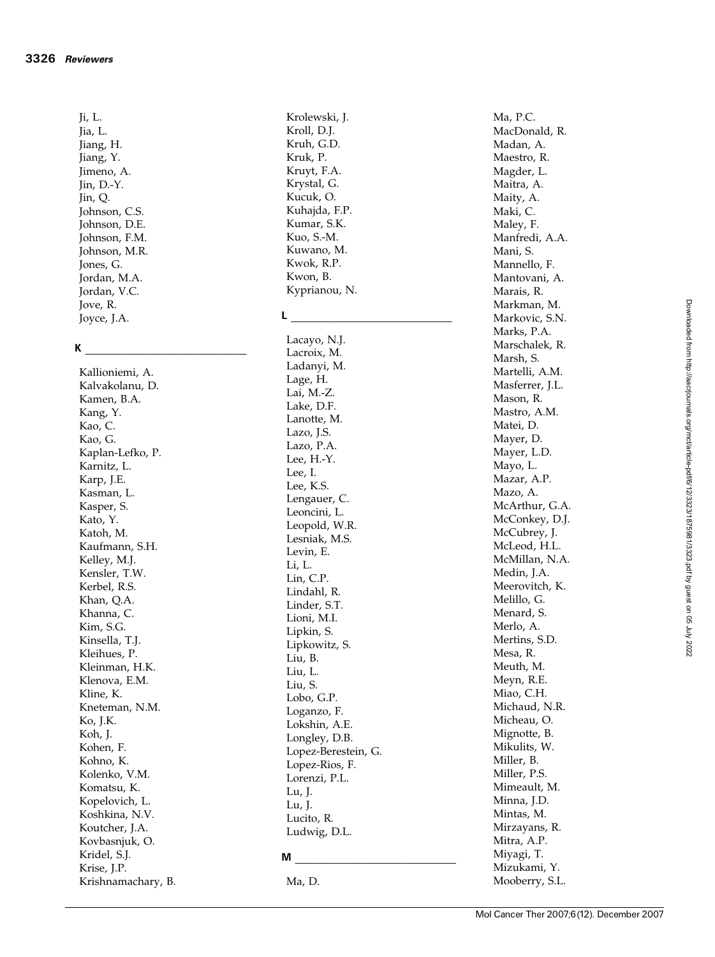Ji, L. Jia, L. Jiang, H. Jiang, Y. Jimeno, A. Jin, D.-Y. Jin, Q. Johnson, C.S. Johnson, D.E. Johnson, F.M. Johnson, M.R. Jones, G. Jordan, M.A. Jordan, V.C. Jove, R. Joyce, J.A.

#### K \_\_\_\_\_\_\_\_\_\_\_\_\_\_\_\_\_\_\_\_\_\_\_\_\_\_\_

Kallioniemi, A. Kalvakolanu, D. Kamen, B.A. Kang, Y. Kao, C. Kao, G. Kaplan-Lefko, P. Karnitz, L. Karp, J.E. Kasman, L. Kasper, S. Kato, Y. Katoh, M. Kaufmann, S.H. Kelley, M.J. Kensler, T.W. Kerbel, R.S. Khan, Q.A. Khanna, C. Kim, S.G. Kinsella, T.J. Kleihues, P. Kleinman, H.K. Klenova, E.M. Kline, K. Kneteman, N.M. Ko, J.K. Koh, J. Kohen, F. Kohno, K. Kolenko, V.M. Komatsu, K. Kopelovich, L. Koshkina, N.V. Koutcher, J.A. Kovbasnjuk, O. Kridel, S.J. Krise, J.P. Krishnamachary, B. Krolewski, J. Kroll, D.J. Kruh, G.D. Kruk, P. Kruyt, F.A. Krystal, G. Kucuk, O. Kuhajda, F.P. Kumar, S.K. Kuo, S.-M. Kuwano, M. Kwok, R.P. Kwon, B. Kyprianou, N.

## L \_\_\_\_\_\_\_\_\_\_\_\_\_\_\_\_\_\_\_\_\_\_\_\_\_\_\_

Lacayo, N.J. Lacroix, M. Ladanyi, M. Lage, H. Lai, M.-Z. Lake, D.F. Lanotte, M. Lazo, J.S. Lazo, P.A. Lee, H.-Y. Lee, I. Lee, K.S. Lengauer, C. Leoncini, L. Leopold, W.R. Lesniak, M.S. Levin, E. Li, L. Lin, C.P. Lindahl, R. Linder, S.T. Lioni, M.I. Lipkin, S. Lipkowitz, S. Liu, B. Liu, L. Liu, S. Lobo, G.P. Loganzo, F. Lokshin, A.E. Longley, D.B. Lopez-Berestein, G. Lopez-Rios, F. Lorenzi, P.L. Lu, J. Lu, J. Lucito, R. Ludwig, D.L.

#### $M \simeq 100$

Ma, D.

Ma, P.C. MacDonald, R. Madan, A. Maestro, R. Magder, L. Maitra, A. Maity, A. Maki, C. Maley, F. Manfredi, A.A. Mani, S. Mannello, F. Mantovani, A. Marais, R. Markman, M. Markovic, S.N. Marks, P.A. Marschalek, R. Marsh, S. Martelli, A.M. Masferrer, J.L. Mason, R. Mastro, A.M. Matei, D. Mayer, D. Mayer, L.D. Mayo, L. Mazar, A.P. Mazo, A. McArthur, G.A. McConkey, D.J. McCubrey, J. McLeod, H.L. McMillan, N.A. Medin, J.A. Meerovitch, K. Melillo, G. Menard, S. Merlo, A. Mertins, S.D. Mesa, R. Meuth, M. Meyn, R.E. Miao, C.H. Michaud, N.R. Micheau, O. Mignotte, B. Mikulits, W. Miller, B. Miller, P.S. Mimeault, M. Minna, J.D. Mintas, M. Mirzayans, R. Mitra, A.P. Miyagi, T. Mizukami, Y. Mooberry, S.L.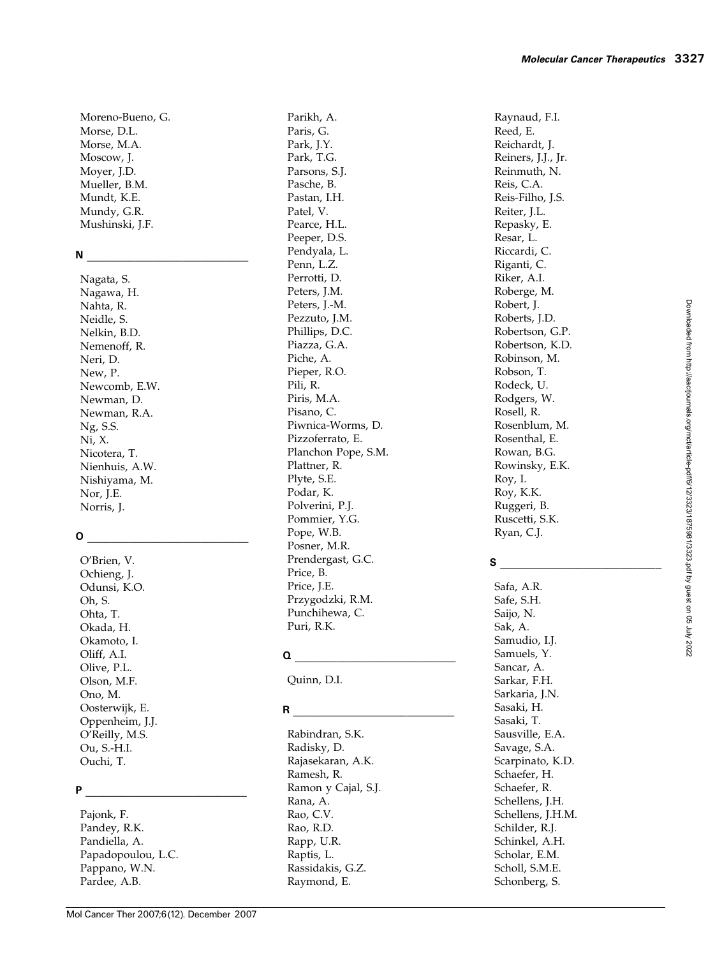Moreno-Bueno, G. Morse, D.L. Morse, M.A. Moscow, J. Moyer, J.D. Mueller, B.M. Mundt, K.E. Mundy, G.R. Mushinski, J.F.

# N  $\Box$

Nagata, S. Nagawa, H. Nahta, R. Neidle, S. Nelkin, B.D. Nemenoff, R. Neri, D. New, P. Newcomb, E.W. Newman, D. Newman, R.A. Ng, S.S. Ni, X. Nicotera, T. Nienhuis, A.W. Nishiyama, M. Nor, J.E. Norris, J.

# O \_\_\_\_\_\_\_\_\_\_\_\_\_\_\_\_\_\_\_\_\_\_\_\_\_\_\_

O'Brien, V. Ochieng, J. Odunsi, K.O. Oh, S. Ohta, T. Okada, H. Okamoto, I. Oliff, A.I. Olive, P.L. Olson, M.F. Ono, M. Oosterwijk, E. Oppenheim, J.J. O'Reilly, M.S. Ou, S.-H.I. Ouchi, T.

## P \_\_\_\_\_\_\_\_\_\_\_\_\_\_\_\_\_\_\_\_\_\_\_\_\_\_\_

Pajonk, F. Pandey, R.K. Pandiella, A. Papadopoulou, L.C. Pappano, W.N. Pardee, A.B.

Parikh, A. Paris, G. Park, J.Y. Park, T.G. Parsons, S.J. Pasche, B. Pastan, I.H. Patel, V. Pearce, H.L. Peeper, D.S. Pendyala, L. Penn, L.Z. Perrotti, D. Peters, J.M. Peters, J.-M. Pezzuto, J.M. Phillips, D.C. Piazza, G.A. Piche, A. Pieper, R.O. Pili, R. Piris, M.A. Pisano, C. Piwnica-Worms, D. Pizzoferrato, E. Planchon Pope, S.M. Plattner, R. Plyte, S.E. Podar, K. Polverini, P.J. Pommier, Y.G. Pope, W.B. Posner, M.R. Prendergast, G.C. Price, B. Price, J.E. Przygodzki, R.M. Punchihewa, C. Puri, R.K.

# $\Omega$

Quinn, D.I.

# R \_\_\_\_\_\_\_\_\_\_\_\_\_\_\_\_\_\_\_\_\_\_\_\_\_\_\_

Rabindran, S.K. Radisky, D. Rajasekaran, A.K. Ramesh, R. Ramon y Cajal, S.J. Rana, A. Rao, C.V. Rao, R.D. Rapp, U.R. Raptis, L. Rassidakis, G.Z. Raymond, E.

Raynaud, F.I. Reed, E. Reichardt, J. Reiners, J.J., Jr. Reinmuth, N. Reis, C.A. Reis-Filho, J.S. Reiter, J.L. Repasky, E. Resar, L. Riccardi, C. Riganti, C. Riker, A.I. Roberge, M. Robert, J. Roberts, J.D. Robertson, G.P. Robertson, K.D. Robinson, M. Robson, T. Rodeck, U. Rodgers, W. Rosell, R. Rosenblum, M. Rosenthal, E. Rowan, B.G. Rowinsky, E.K. Roy, I. Roy, K.K. Ruggeri, B. Ruscetti, S.K. Ryan, C.J.

# S \_\_\_\_\_\_\_\_\_\_\_\_\_\_\_\_\_\_\_\_\_\_\_\_\_\_\_

Safa, A.R. Safe, S.H. Saijo, N. Sak, A. Samudio, I.J. Samuels, Y. Sancar, A. Sarkar, F.H. Sarkaria, J.N. Sasaki, H. Sasaki, T. Sausville, E.A. Savage, S.A. Scarpinato, K.D. Schaefer, H. Schaefer, R. Schellens, J.H. Schellens, J.H.M. Schilder, R.J. Schinkel, A.H. Scholar, E.M. Scholl, S.M.E. Schonberg, S.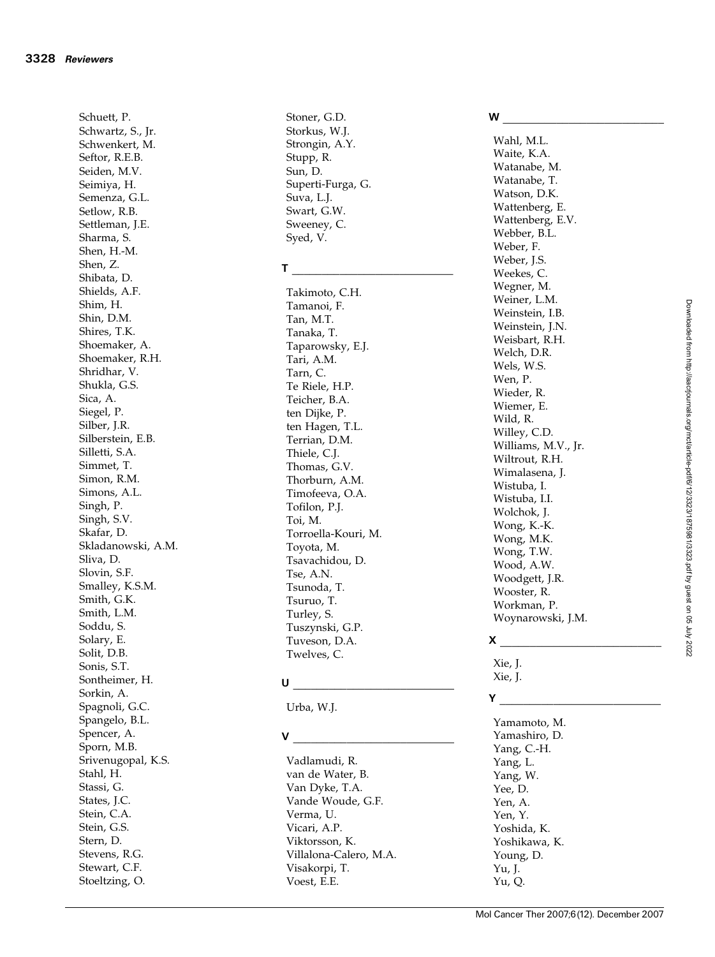Schuett, P. Schwartz, S., Jr. Schwenkert, M. Seftor, R.E.B. Seiden, M.V. Seimiya, H. Semenza, G.L. Setlow, R.B. Settleman, J.E. Sharma, S. Shen, H.-M. Shen, Z. Shibata, D. Shields, A.F. Shim, H. Shin, D.M. Shires, T.K. Shoemaker, A. Shoemaker, R.H. Shridhar, V. Shukla, G.S. Sica, A. Siegel, P. Silber, J.R. Silberstein, E.B. Silletti, S.A. Simmet, T. Simon, R.M. Simons, A.L. Singh, P. Singh, S.V. Skafar, D. Skladanowski, A.M. Sliva, D. Slovin, S.F. Smalley, K.S.M. Smith, G.K. Smith, L.M. Soddu, S. Solary, E. Solit, D.B. Sonis, S.T. Sontheimer, H. Sorkin, A. Spagnoli, G.C. Spangelo, B.L. Spencer, A. Sporn, M.B. Srivenugopal, K.S. Stahl, H. Stassi, G. States, J.C. Stein, C.A. Stein, G.S. Stern, D. Stevens, R.G. Stewart, C.F. Stoeltzing, O.

Stoner, G.D. Storkus, W.J. Strongin, A.Y. Stupp, R. Sun, D. Superti-Furga, G. Suva, L.J. Swart, G.W. Sweeney, C. Syed, V.

#### T  $\frac{1}{\sqrt{2}}$  ,  $\frac{1}{\sqrt{2}}$  ,  $\frac{1}{\sqrt{2}}$  ,  $\frac{1}{\sqrt{2}}$  ,  $\frac{1}{\sqrt{2}}$  ,  $\frac{1}{\sqrt{2}}$  ,  $\frac{1}{\sqrt{2}}$

Takimoto, C.H. Tamanoi, F. Tan, M.T. Tanaka, T. Taparowsky, E.J. Tari, A.M. Tarn, C. Te Riele, H.P. Teicher, B.A. ten Dijke, P. ten Hagen, T.L. Terrian, D.M. Thiele, C.J. Thomas, G.V. Thorburn, A.M. Timofeeva, O.A. Tofilon, P.J. Toi, M. Torroella-Kouri, M. Toyota, M. Tsavachidou, D. Tse, A.N. Tsunoda, T. Tsuruo, T. Turley, S. Tuszynski, G.P. Tuveson, D.A. Twelves, C.

## $\mathsf U$

Urba, W.J.

## $V$

Vadlamudi, R. van de Water, B. Van Dyke, T.A. Vande Woude, G.F. Verma, U. Vicari, A.P. Viktorsson, K. Villalona-Calero, M.A. Visakorpi, T. Voest, E.E.

#### W \_\_\_\_\_\_\_\_\_\_\_\_\_\_\_\_\_\_\_\_\_\_\_\_\_\_\_

Wahl, M.L. Waite, K.A. Watanabe, M. Watanabe, T. Watson, D.K. Wattenberg, E. Wattenberg, E.V. Webber, B.L. Weber, F. Weber, J.S. Weekes, C. Wegner, M. Weiner, L.M. Weinstein, I.B. Weinstein, J.N. Weisbart, R.H. Welch, D.R. Wels, W.S. Wen, P. Wieder, R. Wiemer, E. Wild, R. Willey, C.D. Williams, M.V., Jr. Wiltrout, R.H. Wimalasena, J. Wistuba, I. Wistuba, I.I. Wolchok, J. Wong, K.-K. Wong, M.K. Wong, T.W. Wood, A.W. Woodgett, J.R. Wooster, R. Workman, P. Woynarowski, J.M.

## $x \sim$

Xie, J. Xie, J.

# $Y$ <sub>\_\_\_\_</sub>

Yamamoto, M. Yamashiro, D. Yang, C.-H. Yang, L. Yang, W. Yee, D. Yen, A. Yen, Y. Yoshida, K. Yoshikawa, K. Young, D. Yu, J. Yu, Q.